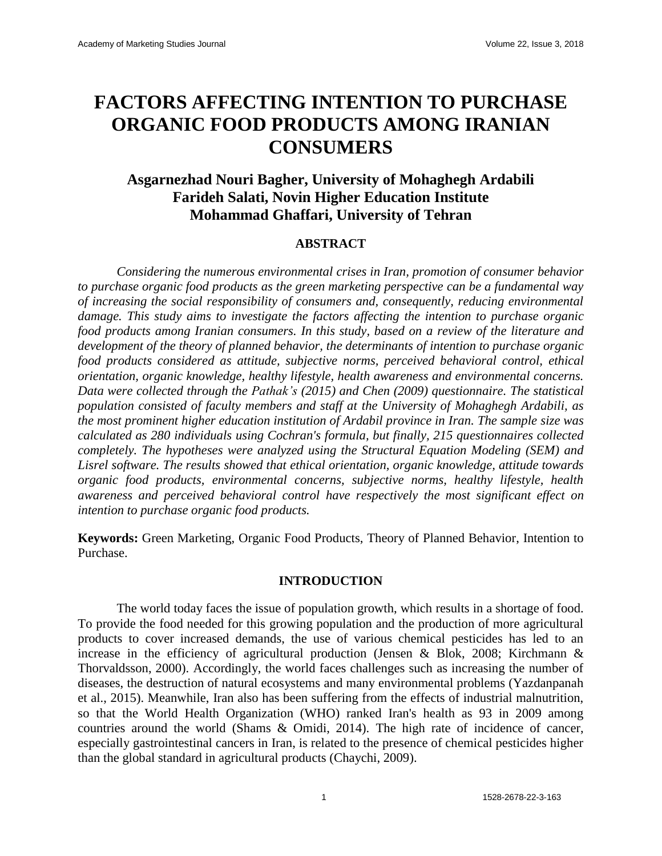# **FACTORS AFFECTING INTENTION TO PURCHASE ORGANIC FOOD PRODUCTS AMONG IRANIAN CONSUMERS**

# **Asgarnezhad Nouri Bagher, University of Mohaghegh Ardabili Farideh Salati, Novin Higher Education Institute Mohammad Ghaffari, University of Tehran**

# **ABSTRACT**

*Considering the numerous environmental crises in Iran, promotion of consumer behavior to purchase organic food products as the green marketing perspective can be a fundamental way of increasing the social responsibility of consumers and, consequently, reducing environmental damage. This study aims to investigate the factors affecting the intention to purchase organic food products among Iranian consumers. In this study, based on a review of the literature and development of the theory of planned behavior, the determinants of intention to purchase organic food products considered as attitude, subjective norms, perceived behavioral control, ethical orientation, organic knowledge, healthy lifestyle, health awareness and environmental concerns. Data were collected through the Pathak's (2015) and Chen (2009) questionnaire. The statistical population consisted of faculty members and staff at the University of Mohaghegh Ardabili, as the most prominent higher education institution of Ardabil province in Iran. The sample size was calculated as 280 individuals using Cochran's formula, but finally, 215 questionnaires collected completely. The hypotheses were analyzed using the Structural Equation Modeling (SEM) and Lisrel software. The results showed that ethical orientation, organic knowledge, attitude towards organic food products, environmental concerns, subjective norms, healthy lifestyle, health awareness and perceived behavioral control have respectively the most significant effect on intention to purchase organic food products.*

**Keywords:** Green Marketing, Organic Food Products, Theory of Planned Behavior, Intention to Purchase.

#### **INTRODUCTION**

The world today faces the issue of population growth, which results in a shortage of food. To provide the food needed for this growing population and the production of more agricultural products to cover increased demands, the use of various chemical pesticides has led to an increase in the efficiency of agricultural production (Jensen & Blok, 2008; Kirchmann & Thorvaldsson, 2000). Accordingly, the world faces challenges such as increasing the number of diseases, the destruction of natural ecosystems and many environmental problems (Yazdanpanah et al., 2015). Meanwhile, Iran also has been suffering from the effects of industrial malnutrition, so that the World Health Organization (WHO) ranked Iran's health as 93 in 2009 among countries around the world (Shams & Omidi, 2014). The high rate of incidence of cancer, especially gastrointestinal cancers in Iran, is related to the presence of chemical pesticides higher than the global standard in agricultural products (Chaychi, 2009).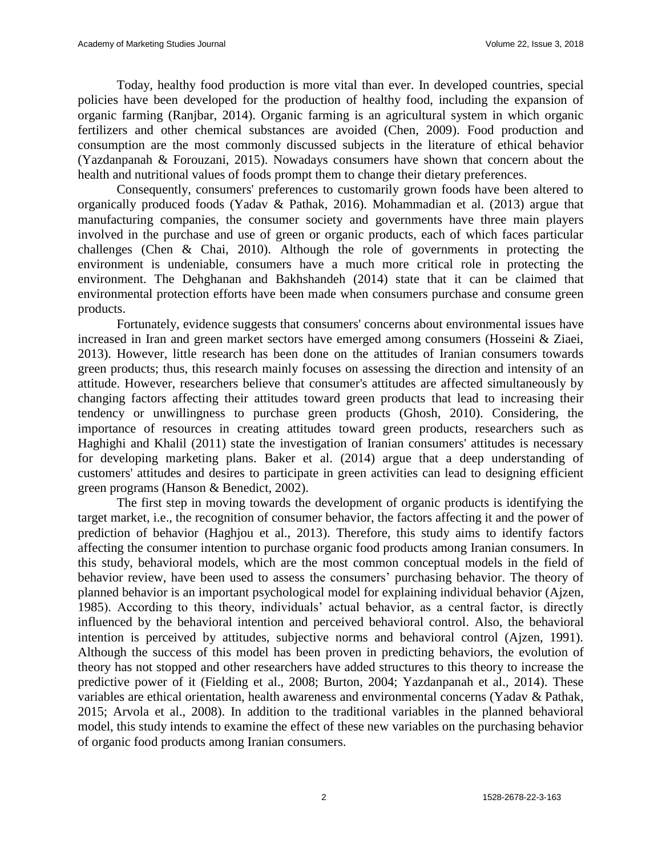Today, healthy food production is more vital than ever. In developed countries, special policies have been developed for the production of healthy food, including the expansion of organic farming (Ranjbar, 2014). Organic farming is an agricultural system in which organic fertilizers and other chemical substances are avoided (Chen, 2009). Food production and consumption are the most commonly discussed subjects in the literature of ethical behavior (Yazdanpanah & Forouzani, 2015). Nowadays consumers have shown that concern about the health and nutritional values of foods prompt them to change their dietary preferences.

Consequently, consumers' preferences to customarily grown foods have been altered to organically produced foods (Yadav & Pathak, 2016). Mohammadian et al. (2013) argue that manufacturing companies, the consumer society and governments have three main players involved in the purchase and use of green or organic products, each of which faces particular challenges (Chen & Chai, 2010). Although the role of governments in protecting the environment is undeniable, consumers have a much more critical role in protecting the environment. The Dehghanan and Bakhshandeh (2014) state that it can be claimed that environmental protection efforts have been made when consumers purchase and consume green products.

Fortunately, evidence suggests that consumers' concerns about environmental issues have increased in Iran and green market sectors have emerged among consumers (Hosseini & Ziaei, 2013). However, little research has been done on the attitudes of Iranian consumers towards green products; thus, this research mainly focuses on assessing the direction and intensity of an attitude. However, researchers believe that consumer's attitudes are affected simultaneously by changing factors affecting their attitudes toward green products that lead to increasing their tendency or unwillingness to purchase green products (Ghosh, 2010). Considering, the importance of resources in creating attitudes toward green products, researchers such as Haghighi and Khalil (2011) state the investigation of Iranian consumers' attitudes is necessary for developing marketing plans. Baker et al. (2014) argue that a deep understanding of customers' attitudes and desires to participate in green activities can lead to designing efficient green programs (Hanson & Benedict, 2002).

The first step in moving towards the development of organic products is identifying the target market, i.e., the recognition of consumer behavior, the factors affecting it and the power of prediction of behavior (Haghjou et al., 2013). Therefore, this study aims to identify factors affecting the consumer intention to purchase organic food products among Iranian consumers. In this study, behavioral models, which are the most common conceptual models in the field of behavior review, have been used to assess the consumers' purchasing behavior. The theory of planned behavior is an important psychological model for explaining individual behavior (Ajzen, 1985). According to this theory, individuals' actual behavior, as a central factor, is directly influenced by the behavioral intention and perceived behavioral control. Also, the behavioral intention is perceived by attitudes, subjective norms and behavioral control (Ajzen, 1991). Although the success of this model has been proven in predicting behaviors, the evolution of theory has not stopped and other researchers have added structures to this theory to increase the predictive power of it (Fielding et al., 2008; Burton, 2004; Yazdanpanah et al., 2014). These variables are ethical orientation, health awareness and environmental concerns (Yadav & Pathak, 2015; Arvola et al., 2008). In addition to the traditional variables in the planned behavioral model, this study intends to examine the effect of these new variables on the purchasing behavior of organic food products among Iranian consumers.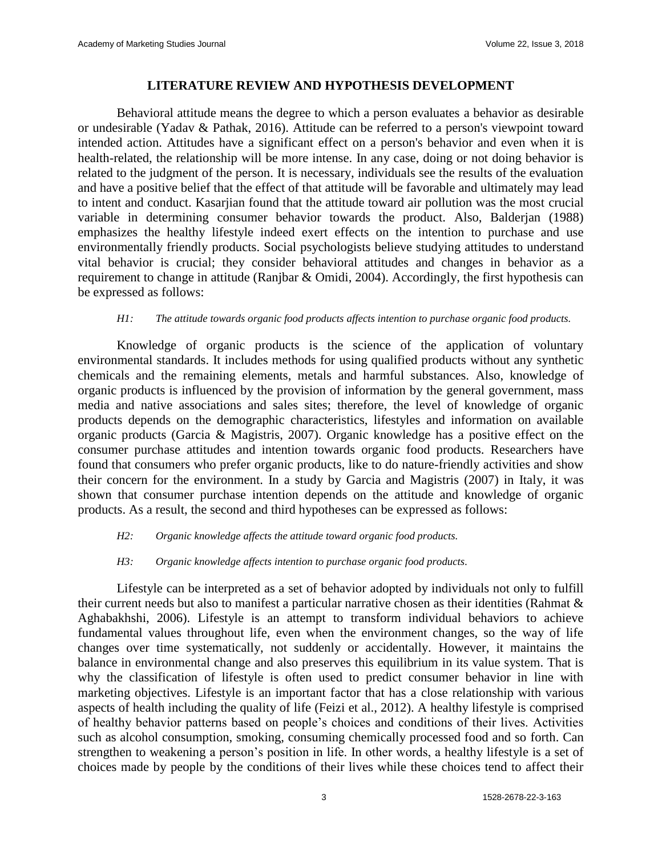# **LITERATURE REVIEW AND HYPOTHESIS DEVELOPMENT**

Behavioral attitude means the degree to which a person evaluates a behavior as desirable or undesirable (Yadav & Pathak, 2016). Attitude can be referred to a person's viewpoint toward intended action. Attitudes have a significant effect on a person's behavior and even when it is health-related, the relationship will be more intense. In any case, doing or not doing behavior is related to the judgment of the person. It is necessary, individuals see the results of the evaluation and have a positive belief that the effect of that attitude will be favorable and ultimately may lead to intent and conduct. Kasarjian found that the attitude toward air pollution was the most crucial variable in determining consumer behavior towards the product. Also, Balderjan (1988) emphasizes the healthy lifestyle indeed exert effects on the intention to purchase and use environmentally friendly products. Social psychologists believe studying attitudes to understand vital behavior is crucial; they consider behavioral attitudes and changes in behavior as a requirement to change in attitude (Ranjbar & Omidi, 2004). Accordingly, the first hypothesis can be expressed as follows:

#### *H1: The attitude towards organic food products affects intention to purchase organic food products.*

Knowledge of organic products is the science of the application of voluntary environmental standards. It includes methods for using qualified products without any synthetic chemicals and the remaining elements, metals and harmful substances. Also, knowledge of organic products is influenced by the provision of information by the general government, mass media and native associations and sales sites; therefore, the level of knowledge of organic products depends on the demographic characteristics, lifestyles and information on available organic products (Garcia & Magistris, 2007). Organic knowledge has a positive effect on the consumer purchase attitudes and intention towards organic food products. Researchers have found that consumers who prefer organic products, like to do nature-friendly activities and show their concern for the environment. In a study by Garcia and Magistris (2007) in Italy, it was shown that consumer purchase intention depends on the attitude and knowledge of organic products. As a result, the second and third hypotheses can be expressed as follows:

#### *H2: Organic knowledge affects the attitude toward organic food products.*

#### *H3: Organic knowledge affects intention to purchase organic food products.*

Lifestyle can be interpreted as a set of behavior adopted by individuals not only to fulfill their current needs but also to manifest a particular narrative chosen as their identities (Rahmat & Aghabakhshi, 2006). Lifestyle is an attempt to transform individual behaviors to achieve fundamental values throughout life, even when the environment changes, so the way of life changes over time systematically, not suddenly or accidentally. However, it maintains the balance in environmental change and also preserves this equilibrium in its value system. That is why the classification of lifestyle is often used to predict consumer behavior in line with marketing objectives. Lifestyle is an important factor that has a close relationship with various aspects of health including the quality of life (Feizi et al., 2012). A healthy lifestyle is comprised of healthy behavior patterns based on people's choices and conditions of their lives. Activities such as alcohol consumption, smoking, consuming chemically processed food and so forth. Can strengthen to weakening a person's position in life. In other words, a healthy lifestyle is a set of choices made by people by the conditions of their lives while these choices tend to affect their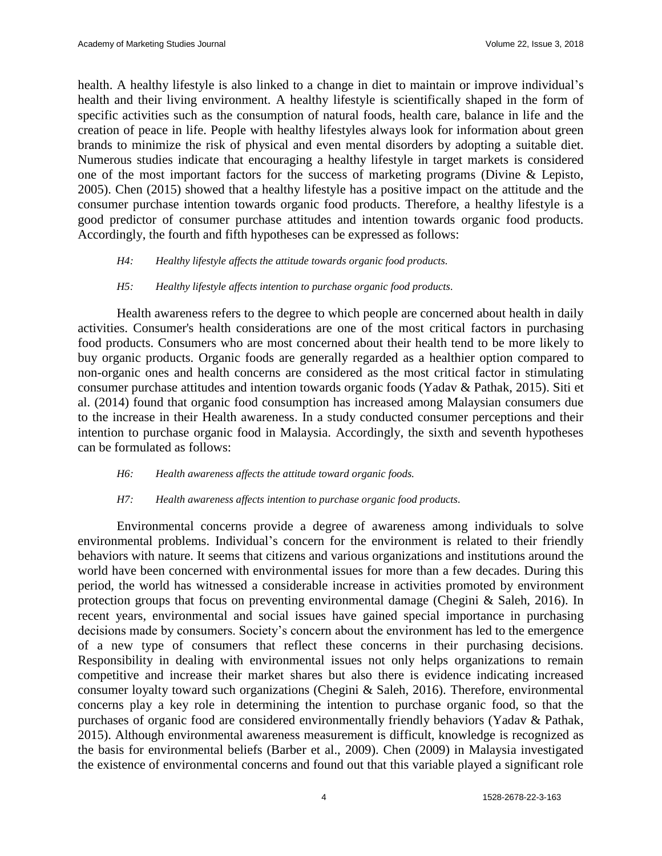health. A healthy lifestyle is also linked to a change in diet to maintain or improve individual's health and their living environment. A healthy lifestyle is scientifically shaped in the form of specific activities such as the consumption of natural foods, health care, balance in life and the creation of peace in life. People with healthy lifestyles always look for information about green brands to minimize the risk of physical and even mental disorders by adopting a suitable diet. Numerous studies indicate that encouraging a healthy lifestyle in target markets is considered one of the most important factors for the success of marketing programs (Divine & Lepisto, 2005). Chen (2015) showed that a healthy lifestyle has a positive impact on the attitude and the consumer purchase intention towards organic food products. Therefore, a healthy lifestyle is a good predictor of consumer purchase attitudes and intention towards organic food products. Accordingly, the fourth and fifth hypotheses can be expressed as follows:

#### *H4: Healthy lifestyle affects the attitude towards organic food products.*

#### *H5: Healthy lifestyle affects intention to purchase organic food products.*

Health awareness refers to the degree to which people are concerned about health in daily activities. Consumer's health considerations are one of the most critical factors in purchasing food products. Consumers who are most concerned about their health tend to be more likely to buy organic products. Organic foods are generally regarded as a healthier option compared to non-organic ones and health concerns are considered as the most critical factor in stimulating consumer purchase attitudes and intention towards organic foods (Yadav & Pathak, 2015). Siti et al. (2014) found that organic food consumption has increased among Malaysian consumers due to the increase in their Health awareness. In a study conducted consumer perceptions and their intention to purchase organic food in Malaysia. Accordingly, the sixth and seventh hypotheses can be formulated as follows:

#### *H6: Health awareness affects the attitude toward organic foods.*

#### *H7: Health awareness affects intention to purchase organic food products.*

Environmental concerns provide a degree of awareness among individuals to solve environmental problems. Individual's concern for the environment is related to their friendly behaviors with nature. It seems that citizens and various organizations and institutions around the world have been concerned with environmental issues for more than a few decades. During this period, the world has witnessed a considerable increase in activities promoted by environment protection groups that focus on preventing environmental damage (Chegini & Saleh, 2016). In recent years, environmental and social issues have gained special importance in purchasing decisions made by consumers. Society's concern about the environment has led to the emergence of a new type of consumers that reflect these concerns in their purchasing decisions. Responsibility in dealing with environmental issues not only helps organizations to remain competitive and increase their market shares but also there is evidence indicating increased consumer loyalty toward such organizations (Chegini & Saleh, 2016). Therefore, environmental concerns play a key role in determining the intention to purchase organic food, so that the purchases of organic food are considered environmentally friendly behaviors (Yadav & Pathak, 2015). Although environmental awareness measurement is difficult, knowledge is recognized as the basis for environmental beliefs (Barber et al., 2009). Chen (2009) in Malaysia investigated the existence of environmental concerns and found out that this variable played a significant role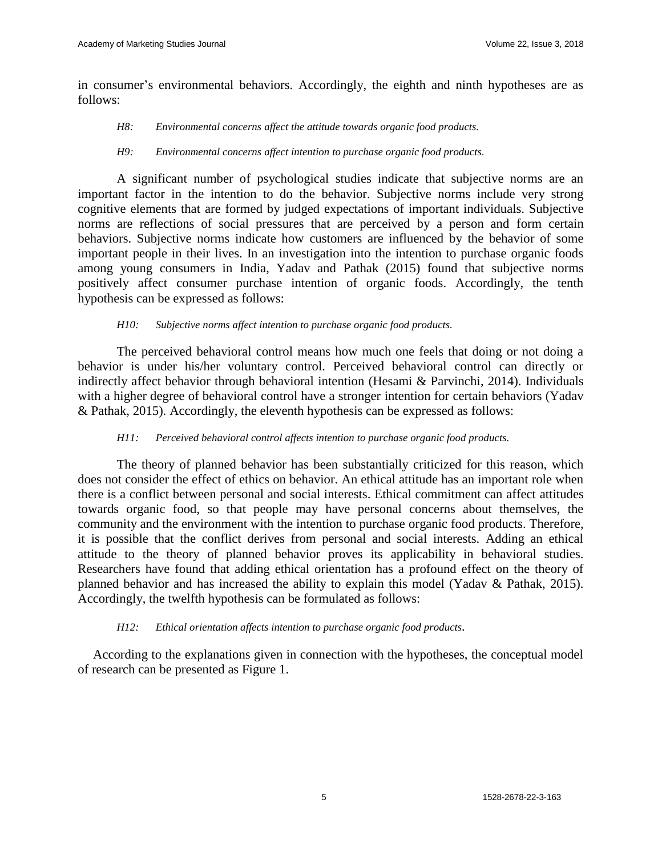in consumer's environmental behaviors. Accordingly, the eighth and ninth hypotheses are as follows:

#### *H8: Environmental concerns affect the attitude towards organic food products.*

#### *H9: Environmental concerns affect intention to purchase organic food products.*

A significant number of psychological studies indicate that subjective norms are an important factor in the intention to do the behavior. Subjective norms include very strong cognitive elements that are formed by judged expectations of important individuals. Subjective norms are reflections of social pressures that are perceived by a person and form certain behaviors. Subjective norms indicate how customers are influenced by the behavior of some important people in their lives. In an investigation into the intention to purchase organic foods among young consumers in India, Yadav and Pathak (2015) found that subjective norms positively affect consumer purchase intention of organic foods. Accordingly, the tenth hypothesis can be expressed as follows:

#### *H10: Subjective norms affect intention to purchase organic food products.*

The perceived behavioral control means how much one feels that doing or not doing a behavior is under his/her voluntary control. Perceived behavioral control can directly or indirectly affect behavior through behavioral intention (Hesami & Parvinchi, 2014). Individuals with a higher degree of behavioral control have a stronger intention for certain behaviors (Yadav & Pathak, 2015). Accordingly, the eleventh hypothesis can be expressed as follows:

#### *H11: Perceived behavioral control affects intention to purchase organic food products.*

The theory of planned behavior has been substantially criticized for this reason, which does not consider the effect of ethics on behavior. An ethical attitude has an important role when there is a conflict between personal and social interests. Ethical commitment can affect attitudes towards organic food, so that people may have personal concerns about themselves, the community and the environment with the intention to purchase organic food products. Therefore, it is possible that the conflict derives from personal and social interests. Adding an ethical attitude to the theory of planned behavior proves its applicability in behavioral studies. Researchers have found that adding ethical orientation has a profound effect on the theory of planned behavior and has increased the ability to explain this model (Yadav & Pathak, 2015). Accordingly, the twelfth hypothesis can be formulated as follows:

#### *H12: Ethical orientation affects intention to purchase organic food products.*

According to the explanations given in connection with the hypotheses, the conceptual model of research can be presented as Figure 1.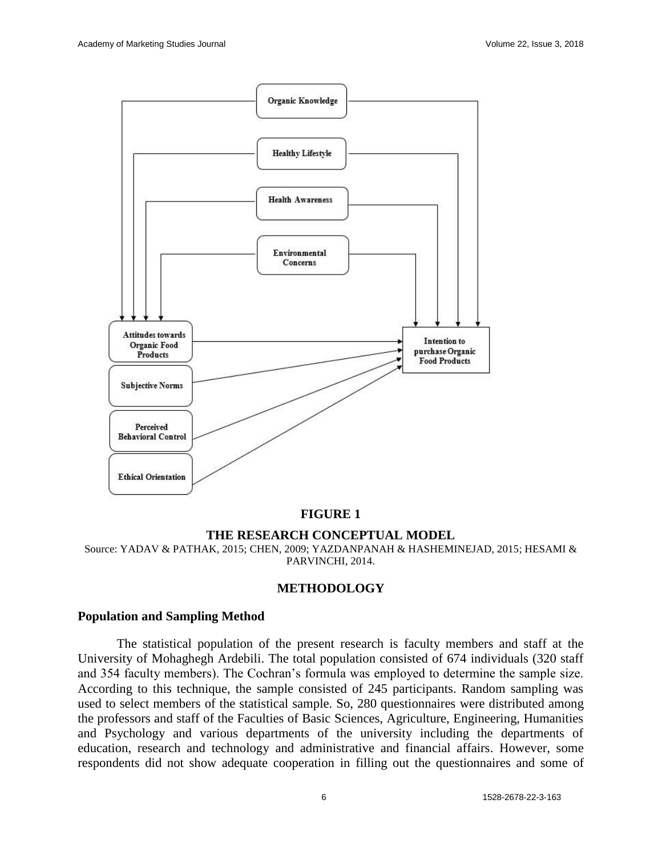

# **FIGURE 1**

#### **THE RESEARCH CONCEPTUAL MODEL**

Source: YADAV & PATHAK, 2015; CHEN, 2009; YAZDANPANAH & HASHEMINEJAD, 2015; HESAMI & PARVINCHI, 2014.

#### **METHODOLOGY**

#### **Population and Sampling Method**

The statistical population of the present research is faculty members and staff at the University of Mohaghegh Ardebili. The total population consisted of 674 individuals (320 staff and 354 faculty members). The Cochran's formula was employed to determine the sample size. According to this technique, the sample consisted of 245 participants. Random sampling was used to select members of the statistical sample. So, 280 questionnaires were distributed among the professors and staff of the Faculties of Basic Sciences, Agriculture, Engineering, Humanities and Psychology and various departments of the university including the departments of education, research and technology and administrative and financial affairs. However, some respondents did not show adequate cooperation in filling out the questionnaires and some of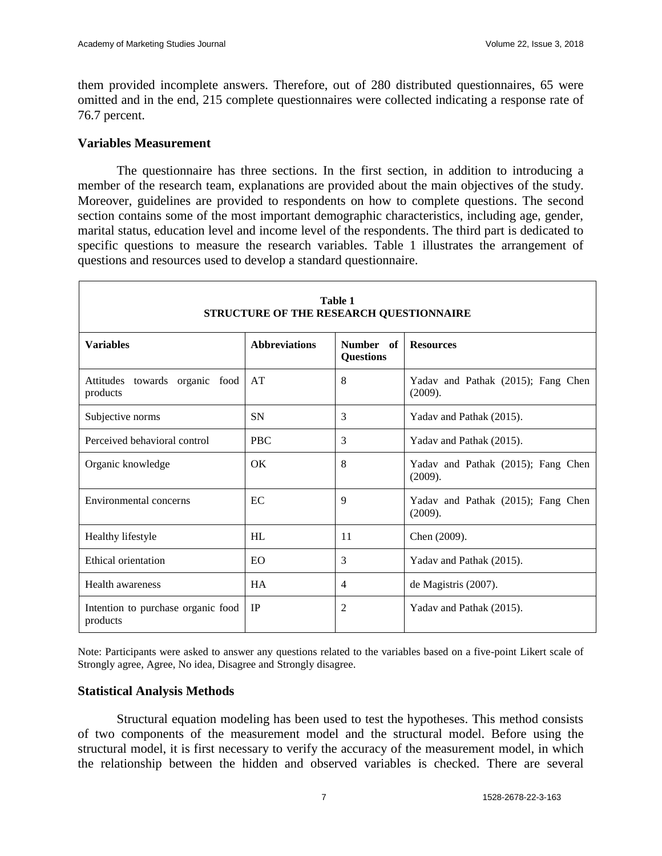them provided incomplete answers. Therefore, out of 280 distributed questionnaires, 65 were omitted and in the end, 215 complete questionnaires were collected indicating a response rate of 76.7 percent.

# **Variables Measurement**

The questionnaire has three sections. In the first section, in addition to introducing a member of the research team, explanations are provided about the main objectives of the study. Moreover, guidelines are provided to respondents on how to complete questions. The second section contains some of the most important demographic characteristics, including age, gender, marital status, education level and income level of the respondents. The third part is dedicated to specific questions to measure the research variables. Table 1 illustrates the arrangement of questions and resources used to develop a standard questionnaire.

| <b>Table 1</b><br>STRUCTURE OF THE RESEARCH QUESTIONNAIRE |                      |                               |                                               |  |
|-----------------------------------------------------------|----------------------|-------------------------------|-----------------------------------------------|--|
| <b>Variables</b>                                          | <b>Abbreviations</b> | Number of<br><b>Questions</b> | <b>Resources</b>                              |  |
| Attitudes towards organic food<br>products                | AT                   | 8                             | Yadav and Pathak (2015); Fang Chen<br>(2009). |  |
| Subjective norms                                          | <b>SN</b>            | 3                             | Yadav and Pathak (2015).                      |  |
| Perceived behavioral control                              | <b>PBC</b>           | 3                             | Yadav and Pathak (2015).                      |  |
| Organic knowledge                                         | $\alpha$             | 8                             | Yadav and Pathak (2015); Fang Chen<br>(2009). |  |
| Environmental concerns                                    | EC                   | 9                             | Yadav and Pathak (2015); Fang Chen<br>(2009). |  |
| Healthy lifestyle                                         | HL                   | 11                            | Chen (2009).                                  |  |
| <b>Ethical orientation</b>                                | <b>EO</b>            | 3                             | Yadav and Pathak (2015).                      |  |
| <b>Health awareness</b>                                   | <b>HA</b>            | 4                             | de Magistris (2007).                          |  |
| Intention to purchase organic food<br>products            | IP                   | 2                             | Yadav and Pathak (2015).                      |  |

Note: Participants were asked to answer any questions related to the variables based on a five-point Likert scale of Strongly agree, Agree, No idea, Disagree and Strongly disagree.

# **Statistical Analysis Methods**

Structural equation modeling has been used to test the hypotheses. This method consists of two components of the measurement model and the structural model. Before using the structural model, it is first necessary to verify the accuracy of the measurement model, in which the relationship between the hidden and observed variables is checked. There are several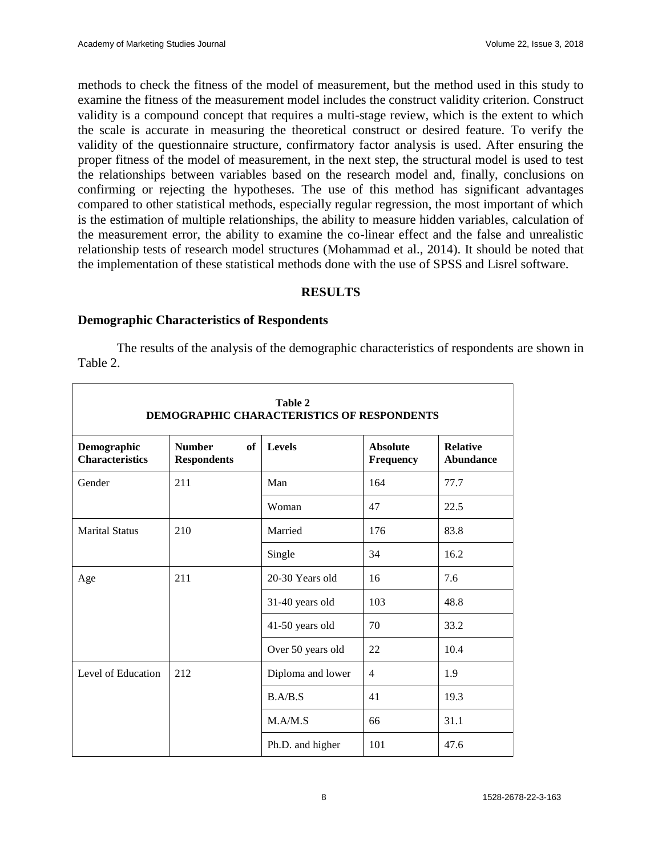methods to check the fitness of the model of measurement, but the method used in this study to examine the fitness of the measurement model includes the construct validity criterion. Construct validity is a compound concept that requires a multi-stage review, which is the extent to which the scale is accurate in measuring the theoretical construct or desired feature. To verify the validity of the questionnaire structure, confirmatory factor analysis is used. After ensuring the proper fitness of the model of measurement, in the next step, the structural model is used to test the relationships between variables based on the research model and, finally, conclusions on confirming or rejecting the hypotheses. The use of this method has significant advantages compared to other statistical methods, especially regular regression, the most important of which is the estimation of multiple relationships, the ability to measure hidden variables, calculation of the measurement error, the ability to examine the co-linear effect and the false and unrealistic relationship tests of research model structures (Mohammad et al., 2014). It should be noted that the implementation of these statistical methods done with the use of SPSS and Lisrel software.

# **RESULTS**

# **Demographic Characteristics of Respondents**

The results of the analysis of the demographic characteristics of respondents are shown in Table 2.

| Table 2<br>DEMOGRAPHIC CHARACTERISTICS OF RESPONDENTS |                                           |                   |                                     |                                     |
|-------------------------------------------------------|-------------------------------------------|-------------------|-------------------------------------|-------------------------------------|
| Demographic<br><b>Characteristics</b>                 | <b>Number</b><br>of<br><b>Respondents</b> | Levels            | <b>Absolute</b><br><b>Frequency</b> | <b>Relative</b><br><b>Abundance</b> |
| Gender                                                | 211                                       | Man               | 164                                 | 77.7                                |
|                                                       |                                           | Woman             | 47                                  | 22.5                                |
| <b>Marital Status</b>                                 | 210                                       | Married           | 176                                 | 83.8                                |
|                                                       |                                           | Single            | 34                                  | 16.2                                |
| Age                                                   | 211                                       | 20-30 Years old   | 16                                  | 7.6                                 |
|                                                       |                                           | 31-40 years old   | 103                                 | 48.8                                |
|                                                       |                                           | 41-50 years old   | 70                                  | 33.2                                |
|                                                       |                                           | Over 50 years old | 22                                  | 10.4                                |
| Level of Education                                    | 212                                       | Diploma and lower | $\overline{4}$                      | 1.9                                 |
|                                                       |                                           | B.A/B.S           | 41                                  | 19.3                                |
|                                                       |                                           | M.A/M.S           | 66                                  | 31.1                                |
|                                                       |                                           | Ph.D. and higher  | 101                                 | 47.6                                |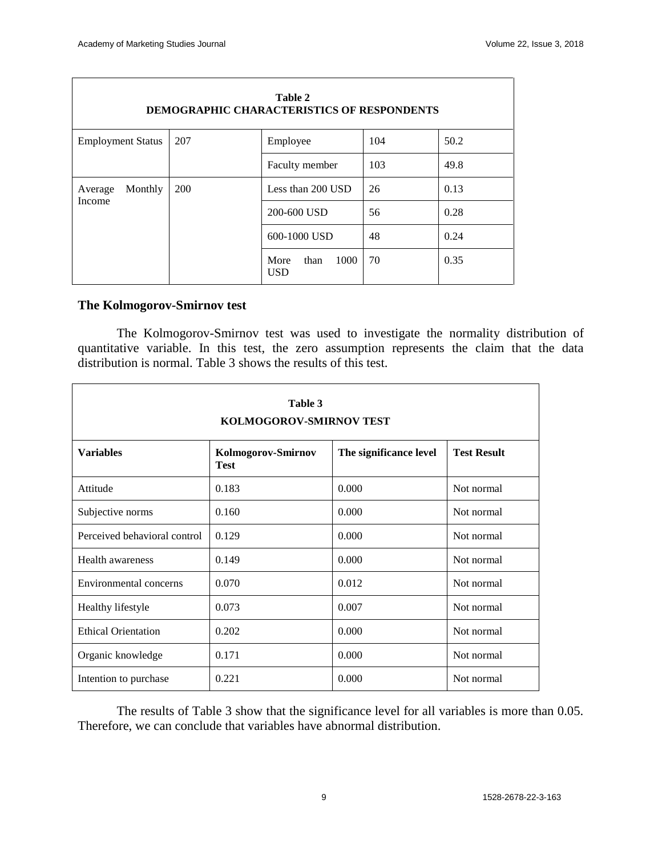٦

Г

| Table 2<br><b>DEMOGRAPHIC CHARACTERISTICS OF RESPONDENTS</b> |            |                                    |      |      |
|--------------------------------------------------------------|------------|------------------------------------|------|------|
| <b>Employment Status</b>                                     | 207        | Employee                           | 104  | 50.2 |
|                                                              |            | Faculty member                     | 103  | 49.8 |
| Monthly<br>Average                                           | <b>200</b> | Less than 200 USD                  | 26   | 0.13 |
| Income                                                       |            | 200-600 USD<br>56                  | 0.28 |      |
|                                                              |            | 600-1000 USD                       | 48   | 0.24 |
|                                                              |            | 1000<br>More<br>than<br><b>USD</b> | 70   | 0.35 |

# **The Kolmogorov-Smirnov test**

The Kolmogorov-Smirnov test was used to investigate the normality distribution of quantitative variable. In this test, the zero assumption represents the claim that the data distribution is normal. Table 3 shows the results of this test.

| Table 3<br><b>KOLMOGOROV-SMIRNOV TEST</b> |                                   |                        |                    |  |
|-------------------------------------------|-----------------------------------|------------------------|--------------------|--|
| <b>Variables</b>                          | Kolmogorov-Smirnov<br><b>Test</b> | The significance level | <b>Test Result</b> |  |
| Attitude                                  | 0.183                             | 0.000                  | Not normal         |  |
| Subjective norms                          | 0.160                             | 0.000                  | Not normal         |  |
| Perceived behavioral control              | 0.129                             | 0.000                  | Not normal         |  |
| <b>Health awareness</b>                   | 0.149                             | 0.000                  | Not normal         |  |
| Environmental concerns                    | 0.070                             | 0.012                  | Not normal         |  |
| Healthy lifestyle                         | 0.073                             | 0.007                  | Not normal         |  |
| <b>Ethical Orientation</b>                | 0.202                             | 0.000                  | Not normal         |  |
| Organic knowledge                         | 0.171                             | 0.000                  | Not normal         |  |
| Intention to purchase                     | 0.221                             | 0.000                  | Not normal         |  |

The results of Table 3 show that the significance level for all variables is more than 0.05. Therefore, we can conclude that variables have abnormal distribution.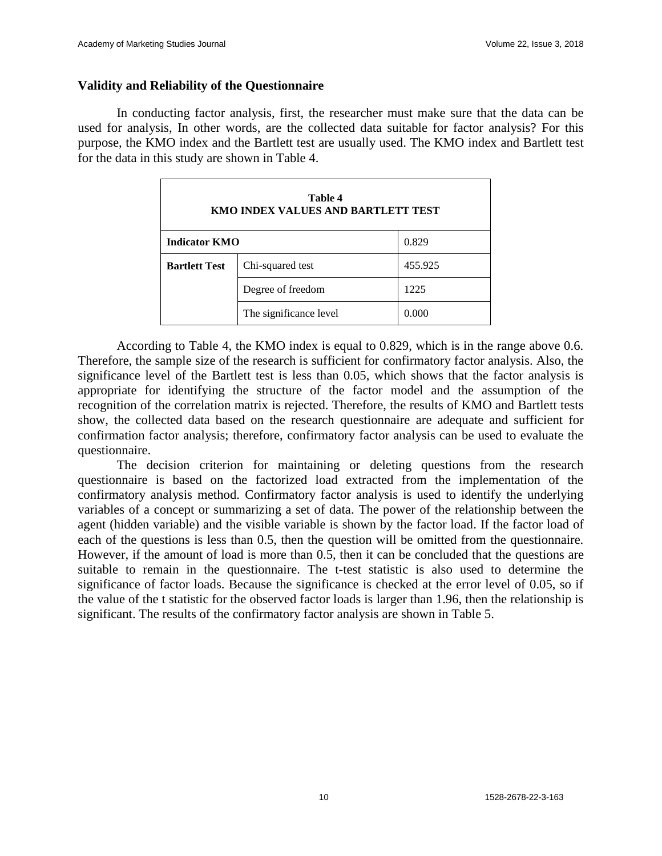# **Validity and Reliability of the Questionnaire**

In conducting factor analysis, first, the researcher must make sure that the data can be used for analysis, In other words, are the collected data suitable for factor analysis? For this purpose, the KMO index and the Bartlett test are usually used. The KMO index and Bartlett test for the data in this study are shown in Table 4.

| Table 4<br>KMO INDEX VALUES AND BARTLETT TEST |                        |         |  |
|-----------------------------------------------|------------------------|---------|--|
| 0.829<br><b>Indicator KMO</b>                 |                        |         |  |
| <b>Bartlett Test</b>                          | Chi-squared test       | 455.925 |  |
|                                               | Degree of freedom      | 1225    |  |
|                                               | The significance level | 0.000   |  |

According to Table 4, the KMO index is equal to 0.829, which is in the range above 0.6. Therefore, the sample size of the research is sufficient for confirmatory factor analysis. Also, the significance level of the Bartlett test is less than 0.05, which shows that the factor analysis is appropriate for identifying the structure of the factor model and the assumption of the recognition of the correlation matrix is rejected. Therefore, the results of KMO and Bartlett tests show, the collected data based on the research questionnaire are adequate and sufficient for confirmation factor analysis; therefore, confirmatory factor analysis can be used to evaluate the questionnaire.

The decision criterion for maintaining or deleting questions from the research questionnaire is based on the factorized load extracted from the implementation of the confirmatory analysis method. Confirmatory factor analysis is used to identify the underlying variables of a concept or summarizing a set of data. The power of the relationship between the agent (hidden variable) and the visible variable is shown by the factor load. If the factor load of each of the questions is less than 0.5, then the question will be omitted from the questionnaire. However, if the amount of load is more than 0.5, then it can be concluded that the questions are suitable to remain in the questionnaire. The t-test statistic is also used to determine the significance of factor loads. Because the significance is checked at the error level of 0.05, so if the value of the t statistic for the observed factor loads is larger than 1.96, then the relationship is significant. The results of the confirmatory factor analysis are shown in Table 5.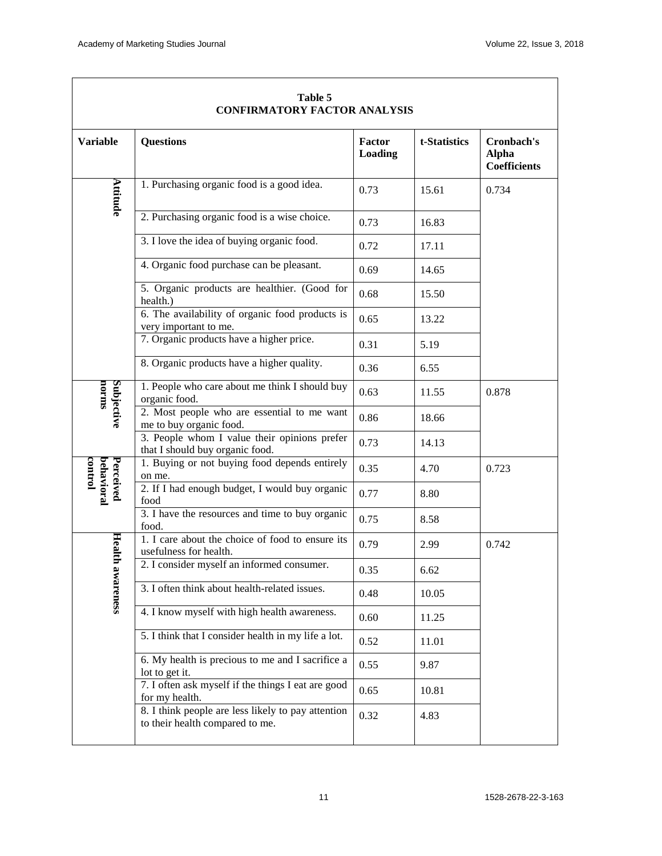| <b>CONFIRMATORY FACTOR ANALYSIS</b> |                                                                                       |                   |              |                                            |
|-------------------------------------|---------------------------------------------------------------------------------------|-------------------|--------------|--------------------------------------------|
| <b>Variable</b>                     | <b>Questions</b>                                                                      | Factor<br>Loading | t-Statistics | Cronbach's<br><b>Alpha</b><br>Coefficients |
| Attitude                            | 1. Purchasing organic food is a good idea.                                            | 0.73              | 15.61        | 0.734                                      |
|                                     | 2. Purchasing organic food is a wise choice.                                          | 0.73              | 16.83        |                                            |
|                                     | 3. I love the idea of buying organic food.                                            | 0.72              | 17.11        |                                            |
|                                     | 4. Organic food purchase can be pleasant.                                             | 0.69              | 14.65        |                                            |
|                                     | 5. Organic products are healthier. (Good for<br>health.)                              | 0.68              | 15.50        |                                            |
|                                     | 6. The availability of organic food products is<br>very important to me.              | 0.65              | 13.22        |                                            |
|                                     | 7. Organic products have a higher price.                                              | 0.31              | 5.19         |                                            |
|                                     | 8. Organic products have a higher quality.                                            | 0.36              | 6.55         |                                            |
| norms                               | 1. People who care about me think I should buy<br>organic food.                       | 0.63              | 11.55        | 0.878                                      |
| Subjective                          | 2. Most people who are essential to me want<br>me to buy organic food.                | 0.86              | 18.66        |                                            |
|                                     | 3. People whom I value their opinions prefer<br>that I should buy organic food.       | 0.73              | 14.13        |                                            |
| control                             | 1. Buying or not buying food depends entirely<br>on me.                               | 0.35              | 4.70         | 0.723                                      |
| Perceived<br>behavioral             | 2. If I had enough budget, I would buy organic<br>food                                | 0.77              | 8.80         |                                            |
|                                     | 3. I have the resources and time to buy organic<br>food.                              | 0.75              | 8.58         |                                            |
|                                     | 1. I care about the choice of food to ensure its<br>usefulness for health.            | 0.79              | 2.99         | 0.742                                      |
| Health awa                          | 2. I consider myself an informed consumer.                                            | 0.35              | 6.62         |                                            |
| reness                              | 3. I often think about health-related issues.                                         | 0.48              | 10.05        |                                            |
|                                     | 4. I know myself with high health awareness.                                          | 0.60              | 11.25        |                                            |
|                                     | 5. I think that I consider health in my life a lot.                                   | 0.52              | 11.01        |                                            |
|                                     | 6. My health is precious to me and I sacrifice a<br>lot to get it.                    | 0.55              | 9.87         |                                            |
|                                     | 7. I often ask myself if the things I eat are good<br>for my health.                  | 0.65              | 10.81        |                                            |
|                                     | 8. I think people are less likely to pay attention<br>to their health compared to me. | 0.32              | 4.83         |                                            |

# **Table 5**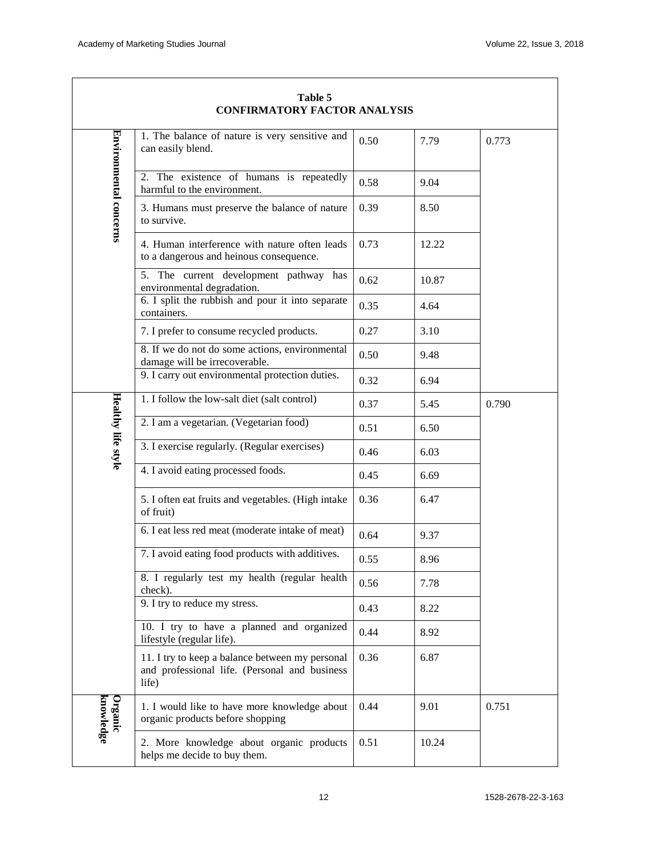$\overline{\phantom{a}}$ 

| Table 5<br><b>CONFIRMATORY FACTOR ANALYSIS</b> |                                                                                                           |      |       |       |
|------------------------------------------------|-----------------------------------------------------------------------------------------------------------|------|-------|-------|
| Environmental concerns                         | 1. The balance of nature is very sensitive and<br>can easily blend.                                       | 0.50 | 7.79  | 0.773 |
|                                                | 2. The existence of humans is repeatedly<br>harmful to the environment.                                   | 0.58 | 9.04  |       |
|                                                | 3. Humans must preserve the balance of nature<br>to survive.                                              | 0.39 | 8.50  |       |
|                                                | 4. Human interference with nature often leads<br>to a dangerous and heinous consequence.                  | 0.73 | 12.22 |       |
|                                                | 5. The current development pathway has<br>environmental degradation.                                      | 0.62 | 10.87 |       |
|                                                | 6. I split the rubbish and pour it into separate<br>containers.                                           | 0.35 | 4.64  |       |
|                                                | 7. I prefer to consume recycled products.                                                                 | 0.27 | 3.10  |       |
|                                                | 8. If we do not do some actions, environmental<br>damage will be irrecoverable.                           | 0.50 | 9.48  |       |
|                                                | 9. I carry out environmental protection duties.                                                           | 0.32 | 6.94  |       |
|                                                | 1. I follow the low-salt diet (salt control)                                                              | 0.37 | 5.45  | 0.790 |
|                                                | 2. I am a vegetarian. (Vegetarian food)                                                                   | 0.51 | 6.50  |       |
| Healthy life style                             | 3. I exercise regularly. (Regular exercises)                                                              | 0.46 | 6.03  |       |
|                                                | 4. I avoid eating processed foods.                                                                        | 0.45 | 6.69  |       |
|                                                | 5. I often eat fruits and vegetables. (High intake<br>of fruit)                                           | 0.36 | 6.47  |       |
|                                                | 6. I eat less red meat (moderate intake of meat)                                                          | 0.64 | 9.37  |       |
|                                                | 7. I avoid eating food products with additives.                                                           | 0.55 | 8.96  |       |
|                                                | 8. I regularly test my health (regular health<br>check).                                                  | 0.56 | 7.78  |       |
|                                                | 9. I try to reduce my stress.                                                                             | 0.43 | 8.22  |       |
|                                                | 10. I try to have a planned and organized<br>lifestyle (regular life).                                    | 0.44 | 8.92  |       |
|                                                | 11. I try to keep a balance between my personal<br>and professional life. (Personal and business<br>life) | 0.36 | 6.87  |       |
| knowledge<br>Organic                           | 1. I would like to have more knowledge about<br>organic products before shopping                          | 0.44 | 9.01  | 0.751 |
|                                                | 2. More knowledge about organic products<br>helps me decide to buy them.                                  | 0.51 | 10.24 |       |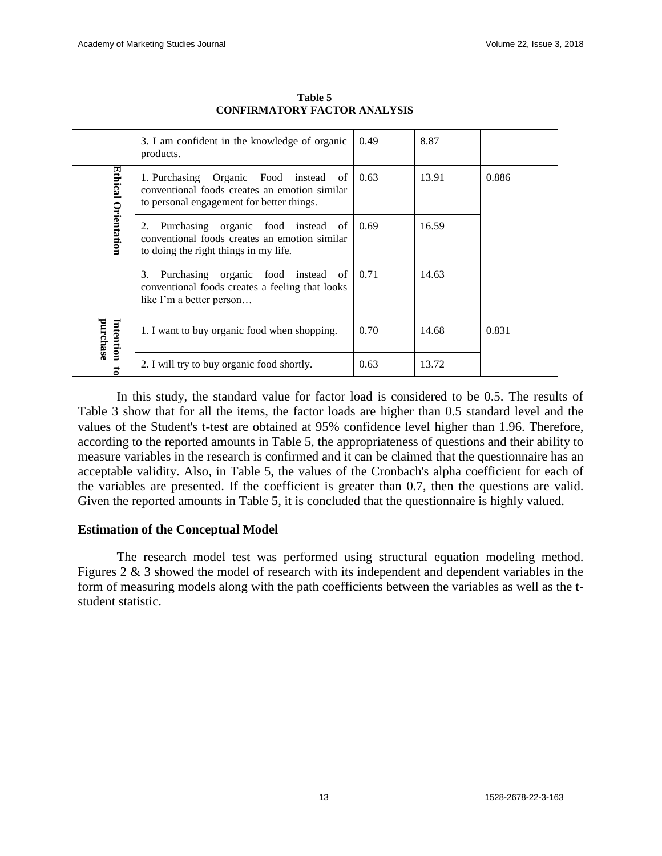| Table 5<br><b>CONFIRMATORY FACTOR ANALYSIS</b> |                                                                                                                                         |      |       |       |
|------------------------------------------------|-----------------------------------------------------------------------------------------------------------------------------------------|------|-------|-------|
|                                                | 3. I am confident in the knowledge of organic<br>products.                                                                              | 0.49 | 8.87  |       |
| Ethical Orientation                            | 1. Purchasing Organic Food instead<br>of<br>conventional foods creates an emotion similar<br>to personal engagement for better things.  | 0.63 | 13.91 | 0.886 |
|                                                | Purchasing organic food instead<br>2.<br>- of<br>conventional foods creates an emotion similar<br>to doing the right things in my life. | 0.69 | 16.59 |       |
|                                                | Purchasing organic<br>food<br>3.<br>instead<br>of<br>conventional foods creates a feeling that looks<br>like I'm a better person        | 0.71 | 14.63 |       |
| purchase<br>Intention                          | 1. I want to buy organic food when shopping.                                                                                            | 0.70 | 14.68 | 0.831 |
| ਡ                                              | 2. I will try to buy organic food shortly.                                                                                              | 0.63 | 13.72 |       |

In this study, the standard value for factor load is considered to be 0.5. The results of Table 3 show that for all the items, the factor loads are higher than 0.5 standard level and the values of the Student's t-test are obtained at 95% confidence level higher than 1.96. Therefore, according to the reported amounts in Table 5, the appropriateness of questions and their ability to measure variables in the research is confirmed and it can be claimed that the questionnaire has an acceptable validity. Also, in Table 5, the values of the Cronbach's alpha coefficient for each of the variables are presented. If the coefficient is greater than 0.7, then the questions are valid. Given the reported amounts in Table 5, it is concluded that the questionnaire is highly valued.

# **Estimation of the Conceptual Model**

The research model test was performed using structural equation modeling method. Figures 2 & 3 showed the model of research with its independent and dependent variables in the form of measuring models along with the path coefficients between the variables as well as the tstudent statistic.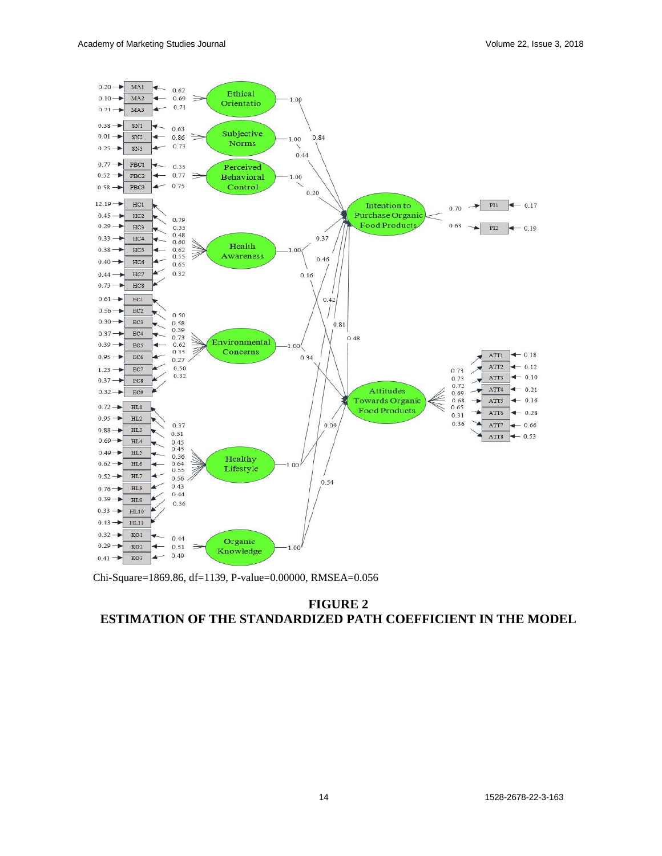

Chi-Square=1869.86, df=1139, P-value=0.00000, RMSEA=0.056

# **FIGURE 2 ESTIMATION OF THE STANDARDIZED PATH COEFFICIENT IN THE MODEL**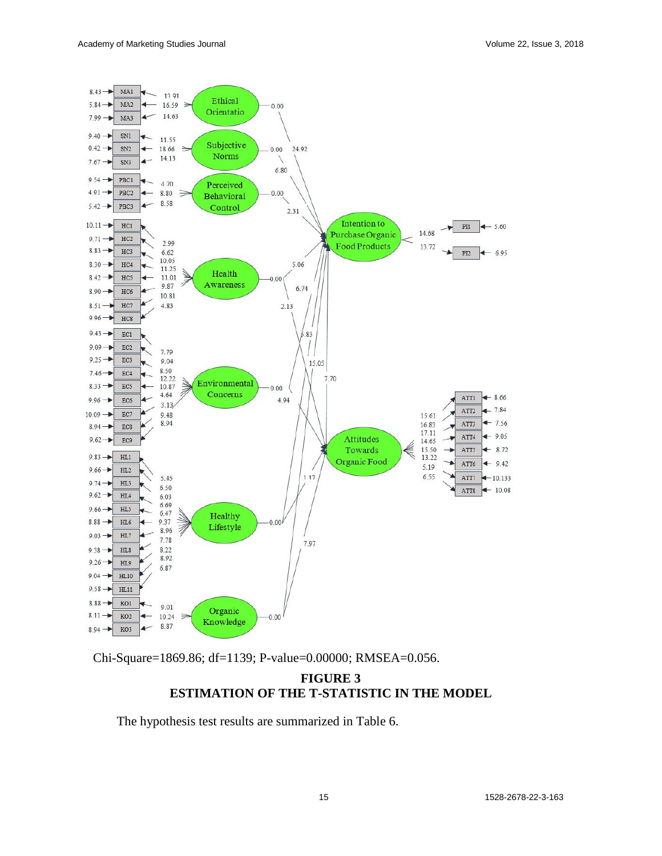

Chi-Square=1869.86; df=1139; P-value=0.00000; RMSEA=0.056.

# **FIGURE 3 ESTIMATION OF THE T-STATISTIC IN THE MODEL**

The hypothesis test results are summarized in Table 6.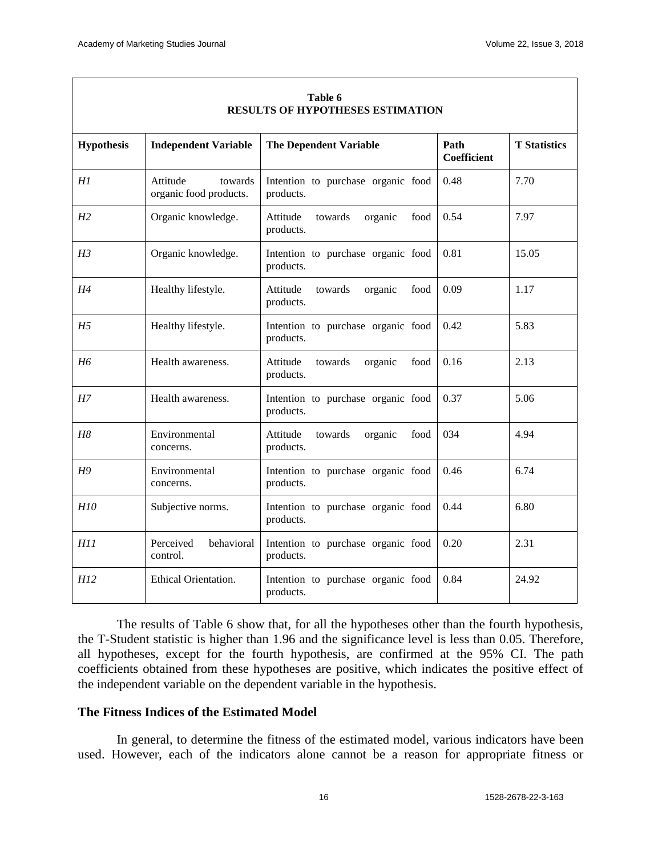| <b>RESULTS OF HYPOTHESES ESTIMATION</b> |                                               |                                                     |                     |                     |
|-----------------------------------------|-----------------------------------------------|-----------------------------------------------------|---------------------|---------------------|
| <b>Hypothesis</b>                       | <b>Independent Variable</b>                   | <b>The Dependent Variable</b>                       | Path<br>Coefficient | <b>T</b> Statistics |
| H1                                      | Attitude<br>towards<br>organic food products. | Intention to purchase organic food<br>products.     | 0.48                | 7.70                |
| H <sub>2</sub>                          | Organic knowledge.                            | Attitude<br>towards<br>organic<br>food<br>products. | 0.54                | 7.97                |
| H3                                      | Organic knowledge.                            | Intention to purchase organic food<br>products.     | 0.81                | 15.05               |
| H4                                      | Healthy lifestyle.                            | Attitude<br>towards<br>organic<br>food<br>products. | 0.09                | 1.17                |
| H5                                      | Healthy lifestyle.                            | Intention to purchase organic food<br>products.     | 0.42                | 5.83                |
| H6                                      | Health awareness.                             | Attitude<br>food<br>towards<br>organic<br>products. | 0.16                | 2.13                |
| H7                                      | Health awareness.                             | Intention to purchase organic food<br>products.     | 0.37                | 5.06                |
| H8                                      | Environmental<br>concerns.                    | Attitude<br>towards<br>organic<br>food<br>products. | 034                 | 4.94                |
| H9                                      | Environmental<br>concerns.                    | Intention to purchase organic food<br>products.     | 0.46                | 6.74                |
| H <sub>10</sub>                         | Subjective norms.                             | Intention to purchase organic food<br>products.     | 0.44                | 6.80                |
| H11                                     | Perceived<br>behavioral<br>control.           | Intention to purchase organic food<br>products.     | 0.20                | 2.31                |
| H12                                     | Ethical Orientation.                          | Intention to purchase organic food<br>products.     | 0.84                | 24.92               |

#### **Table 6 RESULTS OF HYPOTHESES ESTIMATION**

The results of Table 6 show that, for all the hypotheses other than the fourth hypothesis, the T-Student statistic is higher than 1.96 and the significance level is less than 0.05. Therefore, all hypotheses, except for the fourth hypothesis, are confirmed at the 95% CI. The path coefficients obtained from these hypotheses are positive, which indicates the positive effect of the independent variable on the dependent variable in the hypothesis.

# **The Fitness Indices of the Estimated Model**

In general, to determine the fitness of the estimated model, various indicators have been used. However, each of the indicators alone cannot be a reason for appropriate fitness or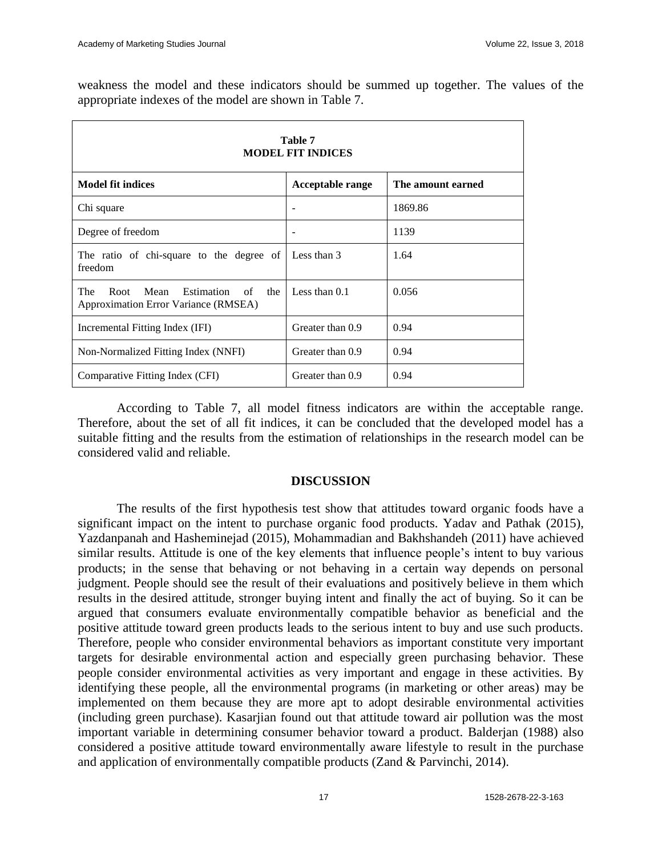weakness the model and these indicators should be summed up together. The values of the appropriate indexes of the model are shown in Table 7.

| Table 7<br><b>MODEL FIT INDICES</b>                                              |                  |                   |  |
|----------------------------------------------------------------------------------|------------------|-------------------|--|
| <b>Model fit indices</b>                                                         | Acceptable range | The amount earned |  |
| Chi square                                                                       | -                | 1869.86           |  |
| Degree of freedom                                                                |                  | 1139              |  |
| The ratio of chi-square to the degree of<br>freedom                              | Less than 3      | 1.64              |  |
| The<br>Mean<br>Estimation of the<br>Root<br>Approximation Error Variance (RMSEA) | Less than $0.1$  | 0.056             |  |
| Incremental Fitting Index (IFI)                                                  | Greater than 0.9 | 0.94              |  |
| Non-Normalized Fitting Index (NNFI)                                              | Greater than 0.9 | 0.94              |  |
| Comparative Fitting Index (CFI)                                                  | Greater than 0.9 | 0.94              |  |

According to Table 7, all model fitness indicators are within the acceptable range. Therefore, about the set of all fit indices, it can be concluded that the developed model has a suitable fitting and the results from the estimation of relationships in the research model can be considered valid and reliable.

#### **DISCUSSION**

The results of the first hypothesis test show that attitudes toward organic foods have a significant impact on the intent to purchase organic food products. Yadav and Pathak (2015), Yazdanpanah and Hasheminejad (2015), Mohammadian and Bakhshandeh (2011) have achieved similar results. Attitude is one of the key elements that influence people's intent to buy various products; in the sense that behaving or not behaving in a certain way depends on personal judgment. People should see the result of their evaluations and positively believe in them which results in the desired attitude, stronger buying intent and finally the act of buying. So it can be argued that consumers evaluate environmentally compatible behavior as beneficial and the positive attitude toward green products leads to the serious intent to buy and use such products. Therefore, people who consider environmental behaviors as important constitute very important targets for desirable environmental action and especially green purchasing behavior. These people consider environmental activities as very important and engage in these activities. By identifying these people, all the environmental programs (in marketing or other areas) may be implemented on them because they are more apt to adopt desirable environmental activities (including green purchase). Kasarjian found out that attitude toward air pollution was the most important variable in determining consumer behavior toward a product. Balderjan (1988) also considered a positive attitude toward environmentally aware lifestyle to result in the purchase and application of environmentally compatible products (Zand & Parvinchi, 2014).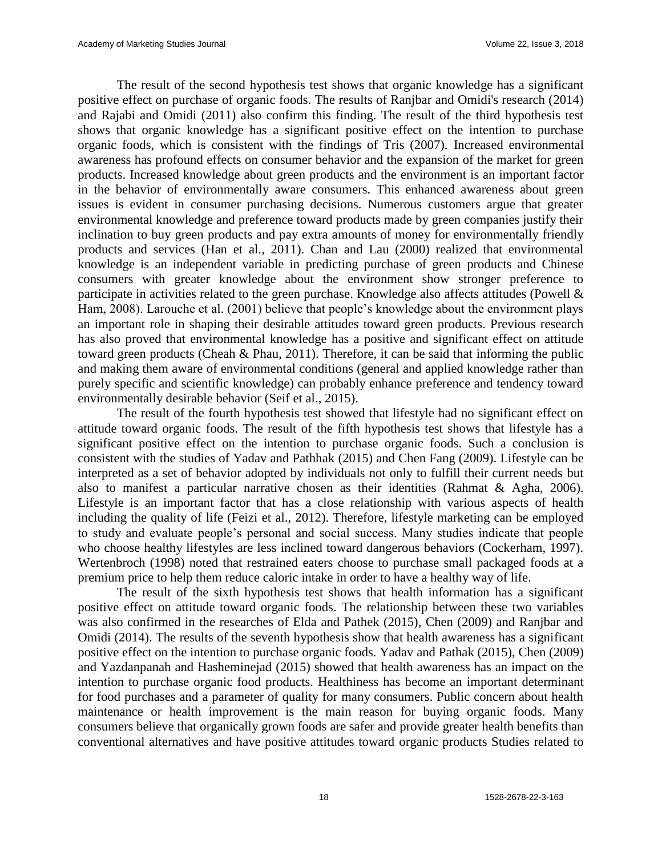The result of the second hypothesis test shows that organic knowledge has a significant positive effect on purchase of organic foods. The results of Ranjbar and Omidi's research (2014) and Rajabi and Omidi (2011) also confirm this finding. The result of the third hypothesis test shows that organic knowledge has a significant positive effect on the intention to purchase organic foods, which is consistent with the findings of Tris (2007). Increased environmental awareness has profound effects on consumer behavior and the expansion of the market for green products. Increased knowledge about green products and the environment is an important factor in the behavior of environmentally aware consumers. This enhanced awareness about green issues is evident in consumer purchasing decisions. Numerous customers argue that greater environmental knowledge and preference toward products made by green companies justify their inclination to buy green products and pay extra amounts of money for environmentally friendly products and services (Han et al., 2011). Chan and Lau (2000) realized that environmental knowledge is an independent variable in predicting purchase of green products and Chinese consumers with greater knowledge about the environment show stronger preference to participate in activities related to the green purchase. Knowledge also affects attitudes (Powell & Ham, 2008). Larouche et al. (2001) believe that people's knowledge about the environment plays an important role in shaping their desirable attitudes toward green products. Previous research has also proved that environmental knowledge has a positive and significant effect on attitude toward green products (Cheah & Phau, 2011). Therefore, it can be said that informing the public and making them aware of environmental conditions (general and applied knowledge rather than purely specific and scientific knowledge) can probably enhance preference and tendency toward environmentally desirable behavior (Seif et al., 2015).

The result of the fourth hypothesis test showed that lifestyle had no significant effect on attitude toward organic foods. The result of the fifth hypothesis test shows that lifestyle has a significant positive effect on the intention to purchase organic foods. Such a conclusion is consistent with the studies of Yadav and Pathhak (2015) and Chen Fang (2009). Lifestyle can be interpreted as a set of behavior adopted by individuals not only to fulfill their current needs but also to manifest a particular narrative chosen as their identities (Rahmat & Agha, 2006). Lifestyle is an important factor that has a close relationship with various aspects of health including the quality of life (Feizi et al., 2012). Therefore, lifestyle marketing can be employed to study and evaluate people's personal and social success. Many studies indicate that people who choose healthy lifestyles are less inclined toward dangerous behaviors (Cockerham, 1997). Wertenbroch (1998) noted that restrained eaters choose to purchase small packaged foods at a premium price to help them reduce caloric intake in order to have a healthy way of life.

The result of the sixth hypothesis test shows that health information has a significant positive effect on attitude toward organic foods. The relationship between these two variables was also confirmed in the researches of Elda and Pathek (2015), Chen (2009) and Ranjbar and Omidi (2014). The results of the seventh hypothesis show that health awareness has a significant positive effect on the intention to purchase organic foods. Yadav and Pathak (2015), Chen (2009) and Yazdanpanah and Hasheminejad (2015) showed that health awareness has an impact on the intention to purchase organic food products. Healthiness has become an important determinant for food purchases and a parameter of quality for many consumers. Public concern about health maintenance or health improvement is the main reason for buying organic foods. Many consumers believe that organically grown foods are safer and provide greater health benefits than conventional alternatives and have positive attitudes toward organic products Studies related to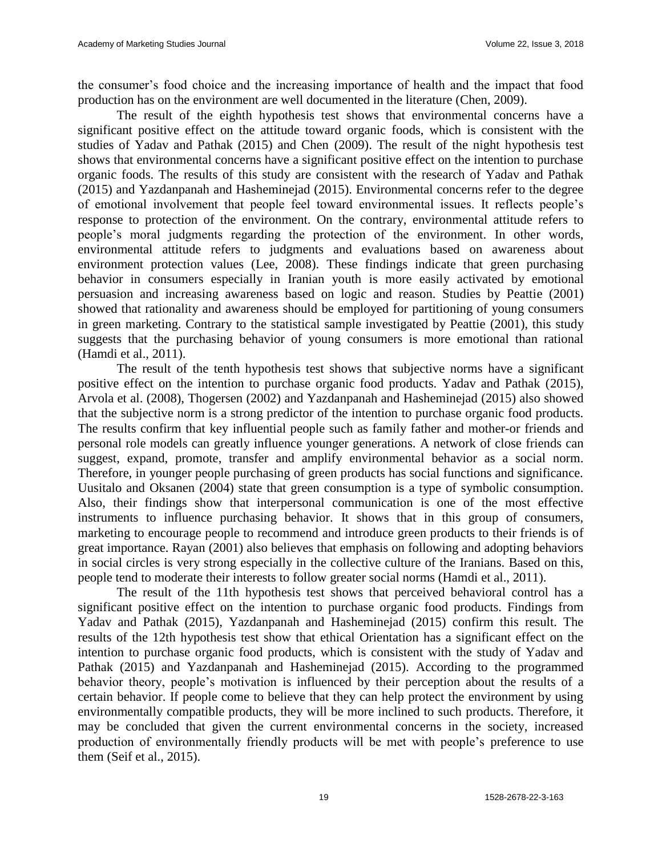the consumer's food choice and the increasing importance of health and the impact that food production has on the environment are well documented in the literature (Chen, 2009).

The result of the eighth hypothesis test shows that environmental concerns have a significant positive effect on the attitude toward organic foods, which is consistent with the studies of Yadav and Pathak (2015) and Chen (2009). The result of the night hypothesis test shows that environmental concerns have a significant positive effect on the intention to purchase organic foods. The results of this study are consistent with the research of Yadav and Pathak (2015) and Yazdanpanah and Hasheminejad (2015). Environmental concerns refer to the degree of emotional involvement that people feel toward environmental issues. It reflects people's response to protection of the environment. On the contrary, environmental attitude refers to people's moral judgments regarding the protection of the environment. In other words, environmental attitude refers to judgments and evaluations based on awareness about environment protection values (Lee, 2008). These findings indicate that green purchasing behavior in consumers especially in Iranian youth is more easily activated by emotional persuasion and increasing awareness based on logic and reason. Studies by Peattie (2001) showed that rationality and awareness should be employed for partitioning of young consumers in green marketing. Contrary to the statistical sample investigated by Peattie (2001), this study suggests that the purchasing behavior of young consumers is more emotional than rational (Hamdi et al., 2011).

The result of the tenth hypothesis test shows that subjective norms have a significant positive effect on the intention to purchase organic food products. Yadav and Pathak (2015), Arvola et al. (2008), Thogersen (2002) and Yazdanpanah and Hasheminejad (2015) also showed that the subjective norm is a strong predictor of the intention to purchase organic food products. The results confirm that key influential people such as family father and mother-or friends and personal role models can greatly influence younger generations. A network of close friends can suggest, expand, promote, transfer and amplify environmental behavior as a social norm. Therefore, in younger people purchasing of green products has social functions and significance. Uusitalo and Oksanen (2004) state that green consumption is a type of symbolic consumption. Also, their findings show that interpersonal communication is one of the most effective instruments to influence purchasing behavior. It shows that in this group of consumers, marketing to encourage people to recommend and introduce green products to their friends is of great importance. Rayan (2001) also believes that emphasis on following and adopting behaviors in social circles is very strong especially in the collective culture of the Iranians. Based on this, people tend to moderate their interests to follow greater social norms (Hamdi et al., 2011).

The result of the 11th hypothesis test shows that perceived behavioral control has a significant positive effect on the intention to purchase organic food products. Findings from Yadav and Pathak (2015), Yazdanpanah and Hasheminejad (2015) confirm this result. The results of the 12th hypothesis test show that ethical Orientation has a significant effect on the intention to purchase organic food products, which is consistent with the study of Yadav and Pathak (2015) and Yazdanpanah and Hasheminejad (2015). According to the programmed behavior theory, people's motivation is influenced by their perception about the results of a certain behavior. If people come to believe that they can help protect the environment by using environmentally compatible products, they will be more inclined to such products. Therefore, it may be concluded that given the current environmental concerns in the society, increased production of environmentally friendly products will be met with people's preference to use them (Seif et al., 2015).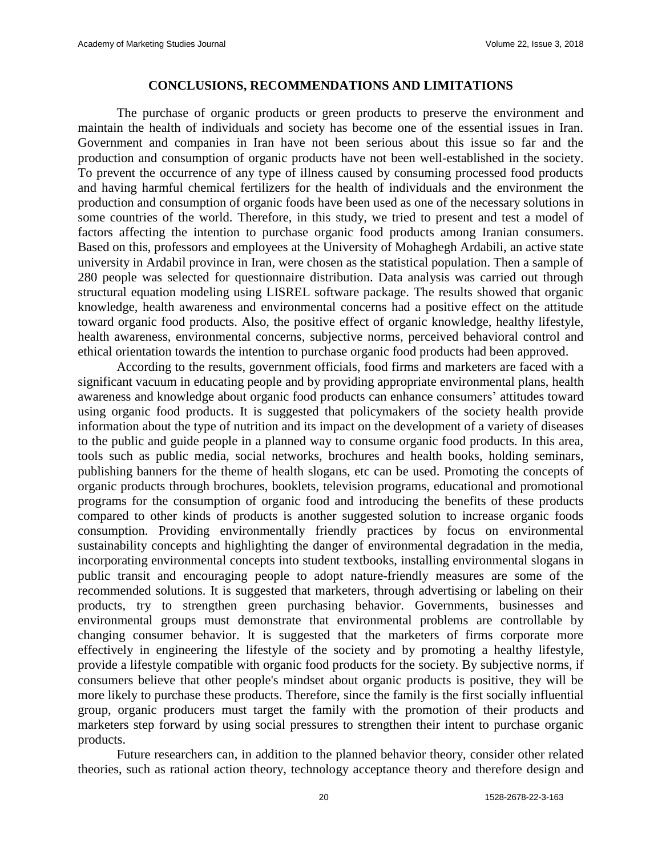#### **CONCLUSIONS, RECOMMENDATIONS AND LIMITATIONS**

The purchase of organic products or green products to preserve the environment and maintain the health of individuals and society has become one of the essential issues in Iran. Government and companies in Iran have not been serious about this issue so far and the production and consumption of organic products have not been well-established in the society. To prevent the occurrence of any type of illness caused by consuming processed food products and having harmful chemical fertilizers for the health of individuals and the environment the production and consumption of organic foods have been used as one of the necessary solutions in some countries of the world. Therefore, in this study, we tried to present and test a model of factors affecting the intention to purchase organic food products among Iranian consumers. Based on this, professors and employees at the University of Mohaghegh Ardabili, an active state university in Ardabil province in Iran, were chosen as the statistical population. Then a sample of 280 people was selected for questionnaire distribution. Data analysis was carried out through structural equation modeling using LISREL software package. The results showed that organic knowledge, health awareness and environmental concerns had a positive effect on the attitude toward organic food products. Also, the positive effect of organic knowledge, healthy lifestyle, health awareness, environmental concerns, subjective norms, perceived behavioral control and ethical orientation towards the intention to purchase organic food products had been approved.

According to the results, government officials, food firms and marketers are faced with a significant vacuum in educating people and by providing appropriate environmental plans, health awareness and knowledge about organic food products can enhance consumers' attitudes toward using organic food products. It is suggested that policymakers of the society health provide information about the type of nutrition and its impact on the development of a variety of diseases to the public and guide people in a planned way to consume organic food products. In this area, tools such as public media, social networks, brochures and health books, holding seminars, publishing banners for the theme of health slogans, etc can be used. Promoting the concepts of organic products through brochures, booklets, television programs, educational and promotional programs for the consumption of organic food and introducing the benefits of these products compared to other kinds of products is another suggested solution to increase organic foods consumption. Providing environmentally friendly practices by focus on environmental sustainability concepts and highlighting the danger of environmental degradation in the media, incorporating environmental concepts into student textbooks, installing environmental slogans in public transit and encouraging people to adopt nature-friendly measures are some of the recommended solutions. It is suggested that marketers, through advertising or labeling on their products, try to strengthen green purchasing behavior. Governments, businesses and environmental groups must demonstrate that environmental problems are controllable by changing consumer behavior. It is suggested that the marketers of firms corporate more effectively in engineering the lifestyle of the society and by promoting a healthy lifestyle, provide a lifestyle compatible with organic food products for the society. By subjective norms, if consumers believe that other people's mindset about organic products is positive, they will be more likely to purchase these products. Therefore, since the family is the first socially influential group, organic producers must target the family with the promotion of their products and marketers step forward by using social pressures to strengthen their intent to purchase organic products.

Future researchers can, in addition to the planned behavior theory, consider other related theories, such as rational action theory, technology acceptance theory and therefore design and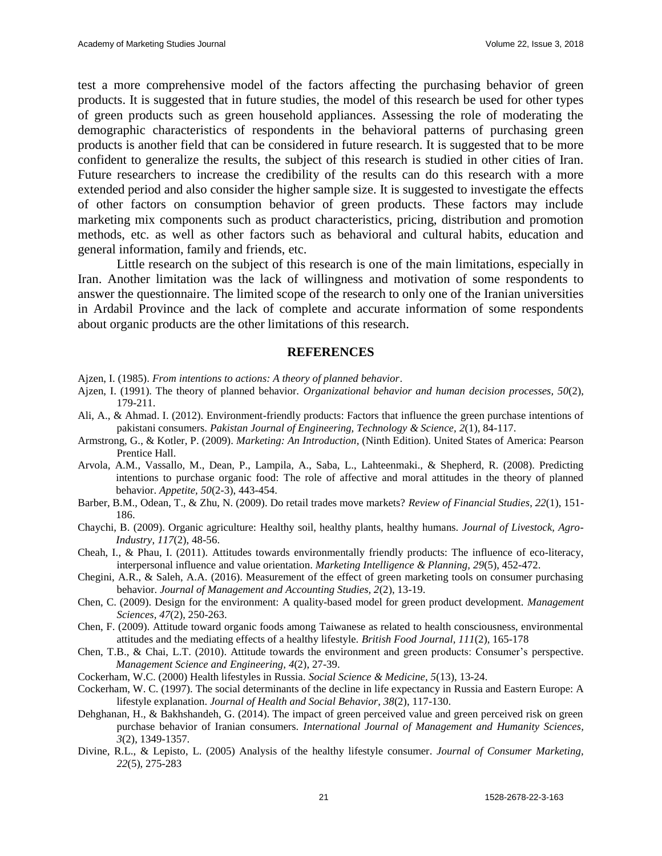test a more comprehensive model of the factors affecting the purchasing behavior of green products. It is suggested that in future studies, the model of this research be used for other types of green products such as green household appliances. Assessing the role of moderating the demographic characteristics of respondents in the behavioral patterns of purchasing green products is another field that can be considered in future research. It is suggested that to be more confident to generalize the results, the subject of this research is studied in other cities of Iran. Future researchers to increase the credibility of the results can do this research with a more extended period and also consider the higher sample size. It is suggested to investigate the effects of other factors on consumption behavior of green products. These factors may include marketing mix components such as product characteristics, pricing, distribution and promotion methods, etc. as well as other factors such as behavioral and cultural habits, education and general information, family and friends, etc.

Little research on the subject of this research is one of the main limitations, especially in Iran. Another limitation was the lack of willingness and motivation of some respondents to answer the questionnaire. The limited scope of the research to only one of the Iranian universities in Ardabil Province and the lack of complete and accurate information of some respondents about organic products are the other limitations of this research.

#### **REFERENCES**

- Ajzen, I. (1985). *From intentions to actions: A theory of planned behavior*.
- Ajzen, I. (1991). The theory of planned behavior. *Organizational behavior and human decision processes, 50*(2), 179-211.
- Ali, A., & Ahmad. I. (2012). Environment-friendly products: Factors that influence the green purchase intentions of pakistani consumers. *Pakistan Journal of Engineering, Technology & Science, 2*(1), 84-117.
- Armstrong, G., & Kotler, P. (2009). *Marketing: An Introduction,* (Ninth Edition). United States of America: Pearson Prentice Hall.
- Arvola, A.M., Vassallo, M., Dean, P., Lampila, A., Saba, L., Lahteenmaki., & Shepherd, R. (2008). Predicting intentions to purchase organic food: The role of affective and moral attitudes in the theory of planned behavior. *Appetite, 50*(2-3), 443-454.
- Barber, B.M., Odean, T., & Zhu, N. (2009). Do retail trades move markets? *Review of Financial Studies*, *22*(1), 151- 186.
- Chaychi, B. (2009). Organic agriculture: Healthy soil, healthy plants, healthy humans. *Journal of Livestock, Agro-Industry*, *117*(2), 48-56.
- Cheah, I., & Phau, I. (2011). Attitudes towards environmentally friendly products: The influence of eco-literacy, interpersonal influence and value orientation. *Marketing Intelligence & Planning, 29*(5), 452-472.
- Chegini, A.R., & Saleh, A.A. (2016). Measurement of the effect of green marketing tools on consumer purchasing behavior. *Journal of Management and Accounting Studies, 2*(2), 13-19.
- Chen, C. (2009). Design for the environment: A quality-based model for green product development. *Management Sciences, 47*(2), 250-263.
- Chen, F. (2009). Attitude toward organic foods among Taiwanese as related to health consciousness, environmental attitudes and the mediating effects of a healthy lifestyle. *British Food Journal, 111*(2), 165-178
- Chen, T.B., & Chai, L.T. (2010). Attitude towards the environment and green products: Consumer's perspective. *Management Science and Engineering, 4*(2), 27-39.
- Cockerham, W.C. (2000) Health lifestyles in Russia. *Social Science & Medicine, 5*(13), 13-24.
- Cockerham, W. C. (1997). The social determinants of the decline in life expectancy in Russia and Eastern Europe: A lifestyle explanation. *Journal of Health and Social Behavior*, *38*(2), 117-130.
- Dehghanan, H., & Bakhshandeh, G. (2014). The impact of green perceived value and green perceived risk on green purchase behavior of Iranian consumers. *International Journal of Management and Humanity Sciences, 3*(2), 1349-1357.
- [Divine,](https://www.emeraldinsight.com/author/Divine%2C+Richard+L) R.L., & [Lepisto,](https://www.emeraldinsight.com/author/Lepisto%2C+Lawrence) L. (2005) Analysis of the healthy lifestyle consumer. *Journal of Consumer Marketing, 22*(5), 275-283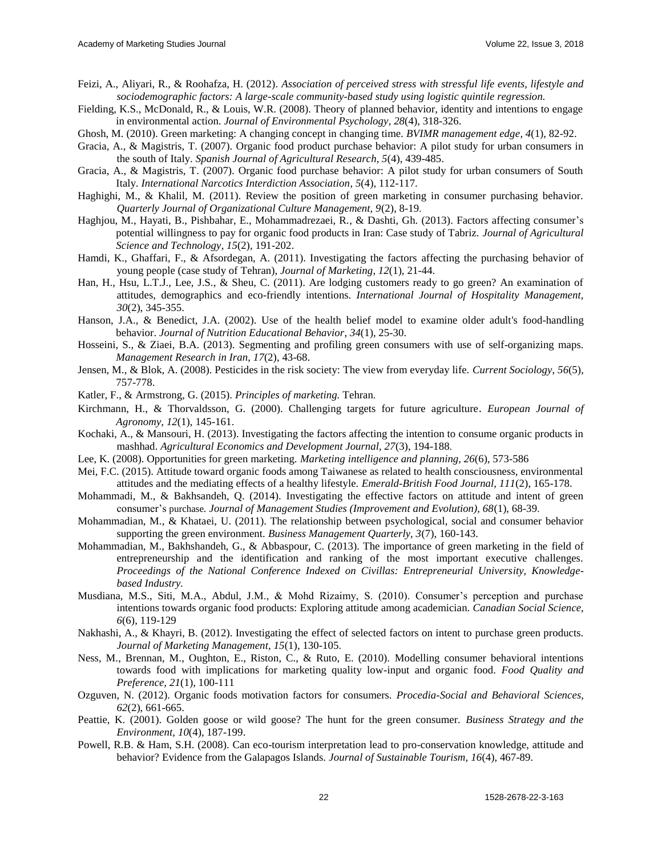- Feizi, A., Aliyari, R., & Roohafza, H. (2012). *Association of perceived stress with stressful life events, lifestyle and sociodemographic factors: A large-scale community-based study using logistic quintile regression.*
- Fielding, K.S., McDonald, R., & Louis, W.R. (2008). Theory of planned behavior, identity and intentions to engage in environmental action. *Journal of Environmental Psychology*, *28*(4), 318-326.
- Ghosh, M. (2010). Green marketing: A changing concept in changing time*. BVIMR management edge, 4*(1), 82-92.
- Gracia, A., & Magistris, T. (2007). Organic food product purchase behavior: A pilot study for urban consumers in the south of Italy. *Spanish Journal of Agricultural Research, 5*(4), 439-485.
- Gracia, A., & Magistris, T. (2007). Organic food purchase behavior: A pilot study for urban consumers of South Italy. *International Narcotics Interdiction Association*, *5*(4), 112-117.
- Haghighi, M., & Khalil, M. (2011). Review the position of green marketing in consumer purchasing behavior. *Quarterly Journal of Organizational Culture Management, 9*(2), 8-19.
- Haghjou, M., Hayati, B., Pishbahar, E., Mohammadrezaei, R., & Dashti, Gh. (2013). Factors affecting consumer's potential willingness to pay for organic food products in Iran: Case study of Tabriz. *Journal of Agricultural Science and Technology*, *15*(2), 191-202.
- Hamdi, K., Ghaffari, F., & Afsordegan, A. (2011). Investigating the factors affecting the purchasing behavior of young people (case study of Tehran), *Journal of Marketing*, *12*(1), 21-44.
- Han, H., Hsu, L.T.J., Lee, J.S., & Sheu, C. (2011). Are lodging customers ready to go green? An examination of attitudes, demographics and eco-friendly intentions. *International Journal of Hospitality Management, 30*(2), 345-355.
- Hanson, J.A., & Benedict, J.A. (2002). Use of the health belief model to examine older adult's food-handling behavior. *Journal of Nutrition Educational Behavior*, *34*(1), 25-30.
- Hosseini, S., & Ziaei, B.A. (2013). Segmenting and profiling green consumers with use of self-organizing maps. *Management Research in Iran*, *17*(2), 43-68.
- Jensen, M., & Blok, A. (2008). Pesticides in the risk society: The view from everyday life. *Current Sociology*, *56*(5), 757-778.
- Katler, F., & Armstrong, G. (2015). *Principles of marketing.* Tehran.
- Kirchmann, H., & Thorvaldsson, G. (2000). Challenging targets for future agriculture. *European Journal of Agronomy, 12*(1), 145-161.
- Kochaki, A., & Mansouri, H. (2013). Investigating the factors affecting the intention to consume organic products in mashhad. *Agricultural Economics and Development Journal, 27*(3), 194-188.
- Lee, K. (2008). Opportunities for green marketing. *Marketing intelligence and planning, 26*(6), 573-586
- Mei, F.C. (2015). Attitude toward organic foods among Taiwanese as related to health consciousness, environmental attitudes and the mediating effects of a healthy lifestyle. *Emerald-British Food Journal, 111*(2), 165-178.
- Mohammadi, M., & Bakhsandeh, Q. (2014). Investigating the effective factors on attitude and intent of green consumer's purchase*. Journal of Management Studies (Improvement and Evolution), 68*(1), 68-39.
- Mohammadian, M., & Khataei, U. (2011). The relationship between psychological, social and consumer behavior supporting the green environment. *Business Management Quarterly, 3*(7), 160-143.
- Mohammadian, M., Bakhshandeh, G., & Abbaspour, C. (2013). The importance of green marketing in the field of entrepreneurship and the identification and ranking of the most important executive challenges. *Proceedings of the National Conference Indexed on Civillas: Entrepreneurial University, Knowledgebased Industry.*
- Musdiana, M.S., Siti, M.A., Abdul, J.M., & Mohd Rizaimy, S. (2010). Consumer's perception and purchase intentions towards organic food products: Exploring attitude among academician. *Canadian Social Science, 6*(6), 119-129
- Nakhashi, A., & Khayri, B. (2012). Investigating the effect of selected factors on intent to purchase green products. *Journal of Marketing Management, 15*(1), 130-105.
- Ness, M., Brennan, M., Oughton, E., Riston, C., & Ruto, E. (2010). Modelling consumer behavioral intentions towards food with implications for marketing quality low-input and organic food. *Food Quality and Preference, 21*(1), 100-111
- Ozguven, N. (2012). Organic foods motivation factors for consumers. *Procedia-Social and Behavioral Sciences, 62*(2), 661-665.
- Peattie, K. (2001). Golden goose or wild goose? The hunt for the green consumer. *Business Strategy and the Environment, 10*(4), 187-199.
- Powell, R.B. & Ham, S.H. (2008). Can eco-tourism interpretation lead to pro-conservation knowledge, attitude and behavior? Evidence from the Galapagos Islands. *Journal of Sustainable Tourism, 16*(4), 467-89.